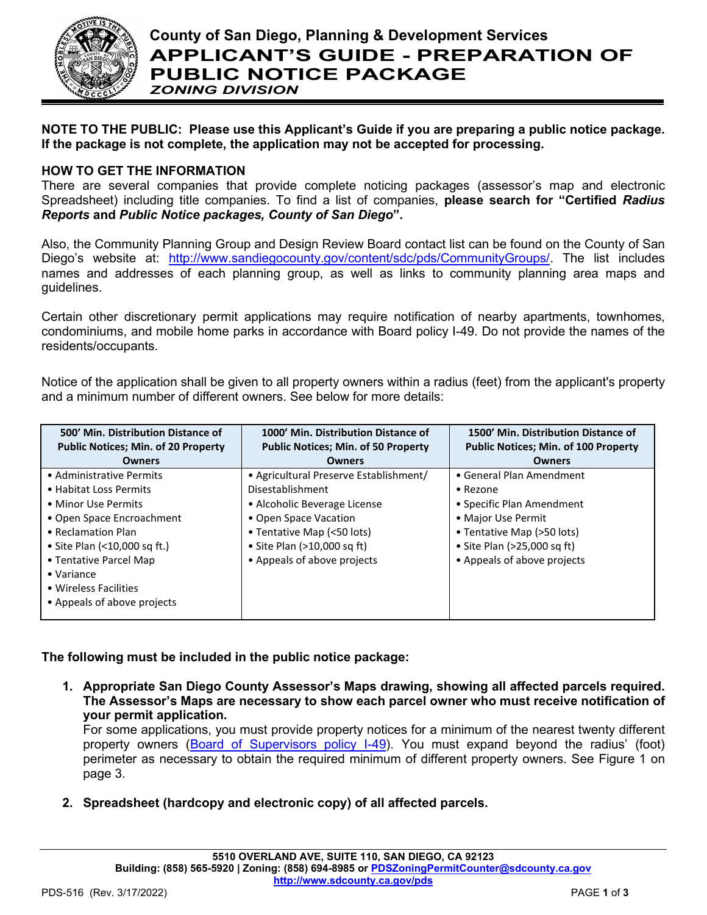

**NOTE TO THE PUBLIC: Please use this Applicant's Guide if you are preparing a public notice package. If the package is not complete, the application may not be accepted for processing.**

# **HOW TO GET THE INFORMATION**

There are several companies that provide complete noticing packages (assessor's map and electronic Spreadsheet) including title companies. To find a list of companies, **please search for "Certified** *Radius Reports* **and** *Public Notice packages, County of San Diego***".**

Also, the Community Planning Group and Design Review Board contact list can be found on the County of San Diego's website at: [http://www.sandiegocounty.gov/content/sdc/pds/CommunityGroups/.](http://www.sandiegocounty.gov/content/sdc/pds/CommunityGroups/) The list includes names and addresses of each planning group, as well as links to community planning area maps and guidelines.

Certain other discretionary permit applications may require notification of nearby apartments, townhomes, condominiums, and mobile home parks in accordance with Board policy I-49. Do not provide the names of the residents/occupants.

Notice of the application shall be given to all property owners within a radius (feet) from the applicant's property and a minimum number of different owners. See below for more details:

| 500' Min. Distribution Distance of<br><b>Public Notices; Min. of 20 Property</b> | 1000' Min. Distribution Distance of<br><b>Public Notices; Min. of 50 Property</b> | 1500' Min. Distribution Distance of<br><b>Public Notices; Min. of 100 Property</b> |
|----------------------------------------------------------------------------------|-----------------------------------------------------------------------------------|------------------------------------------------------------------------------------|
| <b>Owners</b>                                                                    | <b>Owners</b>                                                                     | <b>Owners</b>                                                                      |
| • Administrative Permits                                                         | • Agricultural Preserve Establishment/                                            | • General Plan Amendment                                                           |
| • Habitat Loss Permits                                                           | Disestablishment                                                                  | • Rezone                                                                           |
| • Minor Use Permits                                                              | • Alcoholic Beverage License                                                      | • Specific Plan Amendment                                                          |
| • Open Space Encroachment                                                        | • Open Space Vacation                                                             | • Major Use Permit                                                                 |
| • Reclamation Plan                                                               | • Tentative Map (<50 lots)                                                        | • Tentative Map (>50 lots)                                                         |
| • Site Plan (<10,000 sq ft.)                                                     | • Site Plan (>10,000 sq ft)                                                       | • Site Plan (>25,000 sq ft)                                                        |
| • Tentative Parcel Map                                                           | • Appeals of above projects                                                       | • Appeals of above projects                                                        |
| $\bullet$ Variance                                                               |                                                                                   |                                                                                    |
| • Wireless Facilities                                                            |                                                                                   |                                                                                    |
| • Appeals of above projects                                                      |                                                                                   |                                                                                    |
|                                                                                  |                                                                                   |                                                                                    |

**The following must be included in the public notice package:**

**1. Appropriate San Diego County Assessor's Maps drawing, showing all affected parcels required. The Assessor's Maps are necessary to show each parcel owner who must receive notification of your permit application.**

For some applications, you must provide property notices for a minimum of the nearest twenty different property owners [\(Board of Supervisors policy I-49\)](https://www.sandiegocounty.gov/content/dam/sdc/cob/docs/policy/I-49.pdf). You must expand beyond the radius' (foot) perimeter as necessary to obtain the required minimum of different property owners. See Figure 1 on page 3.

**2. Spreadsheet (hardcopy and electronic copy) of all affected parcels.**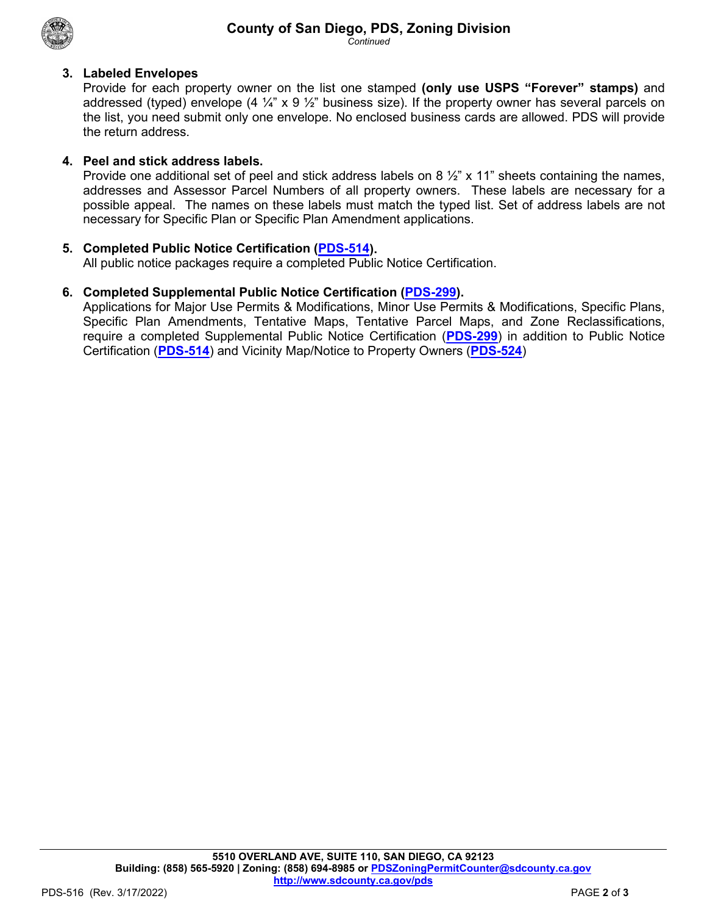

*Continued*

## **3. Labeled Envelopes**

Provide for each property owner on the list one stamped **(only use USPS "Forever" stamps)** and addressed (typed) envelope (4  $\frac{1}{4}$ " x 9  $\frac{1}{2}$ " business size). If the property owner has several parcels on the list, you need submit only one envelope. No enclosed business cards are allowed. PDS will provide the return address.

## **4. Peel and stick address labels.**

Provide one additional set of peel and stick address labels on 8  $\frac{1}{2}$ " x 11" sheets containing the names, addresses and Assessor Parcel Numbers of all property owners. These labels are necessary for a possible appeal. The names on these labels must match the typed list. Set of address labels are not necessary for Specific Plan or Specific Plan Amendment applications.

### **5. Completed Public Notice Certification [\(PDS-514\)](https://www.sandiegocounty.gov/content/dam/sdc/pds/zoning/formfields/PDS-PLN-514.pdf).**

All public notice packages require a completed Public Notice Certification.

### **6. Completed Supplemental Public Notice Certification [\(PDS-299\)](https://www.sandiegocounty.gov/content/dam/sdc/pds/zoning/formfields/PDS-PLN-299.pdf).**

Applications for Major Use Permits & Modifications, Minor Use Permits & Modifications, Specific Plans, Specific Plan Amendments, Tentative Maps, Tentative Parcel Maps, and Zone Reclassifications, require a completed Supplemental Public Notice Certification (**[PDS-299](https://www.sandiegocounty.gov/content/dam/sdc/pds/zoning/formfields/PDS-PLN-299.pdf)**) in addition to Public Notice Certification (**[PDS-514](https://www.sandiegocounty.gov/content/dam/sdc/pds/zoning/formfields/PDS-PLN-514.pdf)**) and Vicinity Map/Notice to Property Owners (**[PDS-524](https://www.sandiegocounty.gov/content/dam/sdc/pds/zoning/formfields/PDS-PLN-524.pdf)**)